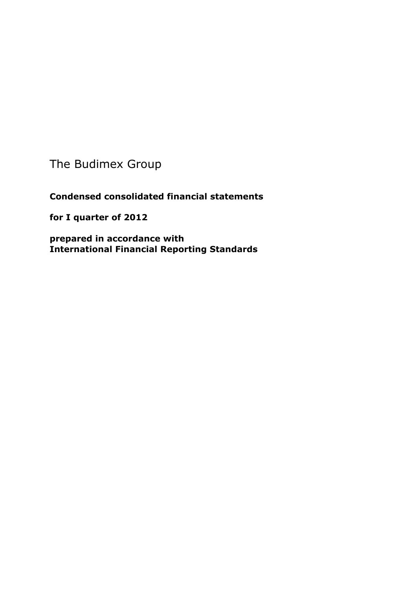The Budimex Group

**Condensed consolidated financial statements** 

**for I quarter of 2012** 

**prepared in accordance with International Financial Reporting Standards**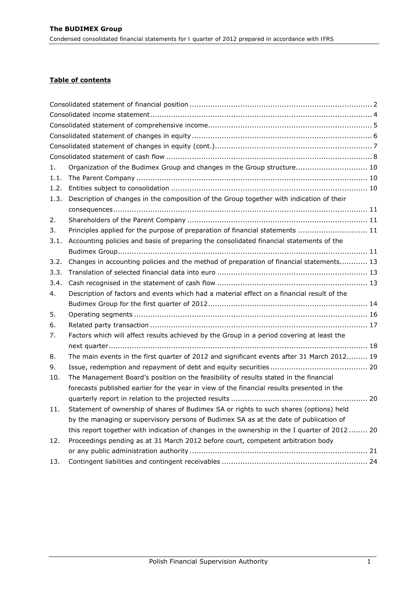# **Table of contents**

| 1.   | Organization of the Budimex Group and changes in the Group structure 10                       |  |
|------|-----------------------------------------------------------------------------------------------|--|
| 1.1. |                                                                                               |  |
| 1.2. |                                                                                               |  |
| 1.3. | Description of changes in the composition of the Group together with indication of their      |  |
|      |                                                                                               |  |
| 2.   |                                                                                               |  |
| 3.   | Principles applied for the purpose of preparation of financial statements  11                 |  |
| 3.1. | Accounting policies and basis of preparing the consolidated financial statements of the       |  |
|      |                                                                                               |  |
| 3.2. | Changes in accounting policies and the method of preparation of financial statements 13       |  |
| 3.3. |                                                                                               |  |
| 3.4. |                                                                                               |  |
| 4.   | Description of factors and events which had a material effect on a financial result of the    |  |
|      |                                                                                               |  |
| 5.   |                                                                                               |  |
| 6.   |                                                                                               |  |
| 7.   | Factors which will affect results achieved by the Group in a period covering at least the     |  |
|      |                                                                                               |  |
| 8.   | The main events in the first quarter of 2012 and significant events after 31 March 2012 19    |  |
| 9.   |                                                                                               |  |
| 10.  | The Management Board's position on the feasibility of results stated in the financial         |  |
|      | forecasts published earlier for the year in view of the financial results presented in the    |  |
|      |                                                                                               |  |
| 11.  | Statement of ownership of shares of Budimex SA or rights to such shares (options) held        |  |
|      | by the managing or supervisory persons of Budimex SA as at the date of publication of         |  |
|      | this report together with indication of changes in the ownership in the I quarter of 2012  20 |  |
| 12.  | Proceedings pending as at 31 March 2012 before court, competent arbitration body              |  |
|      |                                                                                               |  |
| 13.  |                                                                                               |  |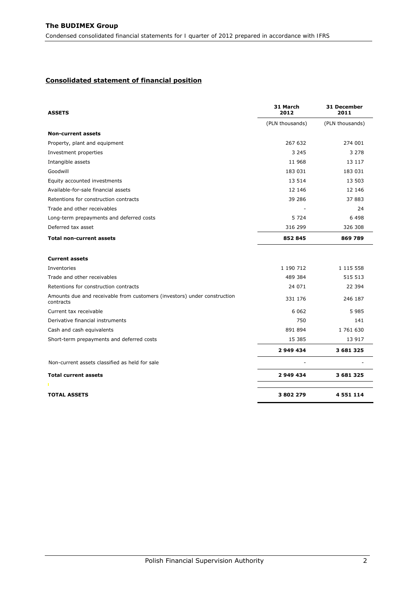#### <span id="page-2-0"></span>**Consolidated statement of financial position**

| <b>ASSETS</b>                                                                         | 31 March<br>2012 | 31 December<br>2011 |
|---------------------------------------------------------------------------------------|------------------|---------------------|
|                                                                                       | (PLN thousands)  | (PLN thousands)     |
| <b>Non-current assets</b>                                                             |                  |                     |
| Property, plant and equipment                                                         | 267 632          | 274 001             |
| Investment properties                                                                 | 3 2 4 5          | 3 2 7 8             |
| Intangible assets                                                                     | 11 968           | 13 117              |
| Goodwill                                                                              | 183 031          | 183 031             |
| Equity accounted investments                                                          | 13 5 14          | 13 503              |
| Available-for-sale financial assets                                                   | 12 14 6          | 12 14 6             |
| Retentions for construction contracts                                                 | 39 286           | 37 883              |
| Trade and other receivables                                                           |                  | 24                  |
| Long-term prepayments and deferred costs                                              | 5 7 2 4          | 6 4 9 8             |
| Deferred tax asset                                                                    | 316 299          | 326 308             |
| <b>Total non-current assets</b>                                                       | 852 845          | 869 789             |
| <b>Current assets</b>                                                                 |                  |                     |
| Inventories                                                                           | 1 190 712        | 1 115 558           |
| Trade and other receivables                                                           | 489 384          | 515 513             |
| Retentions for construction contracts                                                 | 24 071           | 22 394              |
| Amounts due and receivable from customers (investors) under construction<br>contracts | 331 176          | 246 187             |
| Current tax receivable                                                                | 6 0 6 2          | 5985                |
| Derivative financial instruments                                                      | 750              | 141                 |
| Cash and cash equivalents                                                             | 891 894          | 1 761 630           |
| Short-term prepayments and deferred costs                                             | 15 3 8 5         | 13 917              |
|                                                                                       | 2 949 434        | 3 681 325           |
| Non-current assets classified as held for sale                                        |                  |                     |
| <b>Total current assets</b>                                                           | 2 949 434        | 3 681 325           |
|                                                                                       |                  |                     |
| <b>TOTAL ASSETS</b>                                                                   | 3802279          | 4551114             |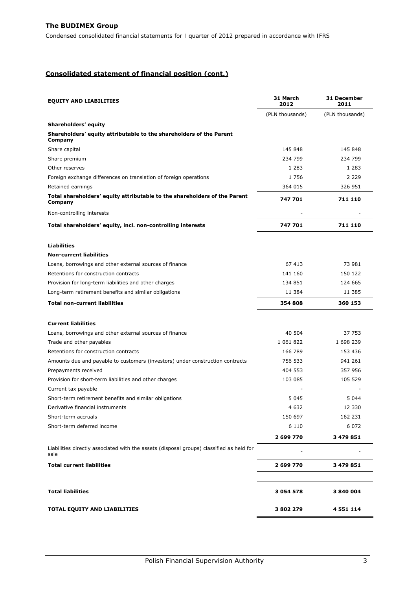## **Consolidated statement of financial position (cont.)**

| <b>EQUITY AND LIABILITIES</b>                                                                    | 31 March<br>2012 | 31 December<br>2011 |  |
|--------------------------------------------------------------------------------------------------|------------------|---------------------|--|
|                                                                                                  | (PLN thousands)  | (PLN thousands)     |  |
| Shareholders' equity                                                                             |                  |                     |  |
| Shareholders' equity attributable to the shareholders of the Parent<br>Company                   |                  |                     |  |
| Share capital                                                                                    | 145 848          | 145 848             |  |
| Share premium                                                                                    | 234 799          | 234 799             |  |
| Other reserves                                                                                   | 1 2 8 3          | 1 283               |  |
| Foreign exchange differences on translation of foreign operations                                | 1756             | 2 2 2 9             |  |
| Retained earnings                                                                                | 364 015          | 326 951             |  |
| Total shareholders' equity attributable to the shareholders of the Parent<br>Company             | 747 701          | 711 110             |  |
| Non-controlling interests                                                                        |                  |                     |  |
| Total shareholders' equity, incl. non-controlling interests                                      | 747 701          | 711 110             |  |
| <b>Liabilities</b>                                                                               |                  |                     |  |
| <b>Non-current liabilities</b>                                                                   |                  |                     |  |
| Loans, borrowings and other external sources of finance                                          | 67413            | 73 981              |  |
| Retentions for construction contracts                                                            | 141 160          | 150 122             |  |
| Provision for long-term liabilities and other charges                                            | 134 851          | 124 665             |  |
| Long-term retirement benefits and similar obligations                                            | 11 384           | 11 385              |  |
| <b>Total non-current liabilities</b>                                                             | 354 808          | 360 153             |  |
| <b>Current liabilities</b>                                                                       |                  |                     |  |
| Loans, borrowings and other external sources of finance                                          | 40 504           | 37 753              |  |
| Trade and other payables                                                                         | 1 061 822        | 1 698 239           |  |
| Retentions for construction contracts                                                            | 166 789          | 153 436             |  |
| Amounts due and payable to customers (investors) under construction contracts                    | 756 533          | 941 261             |  |
| Prepayments received                                                                             | 404 553          | 357 956             |  |
| Provision for short-term liabilities and other charges                                           | 103 085          | 105 529             |  |
| Current tax payable                                                                              |                  |                     |  |
| Short-term retirement benefits and similar obligations                                           | 5 0 4 5          | 5 0 4 4             |  |
| Derivative financial instruments                                                                 | 4 6 3 2          | 12 3 30             |  |
| Short-term accruals                                                                              | 150 697          | 162 231             |  |
| Short-term deferred income                                                                       | 6 1 1 0          | 6 0 7 2             |  |
|                                                                                                  | 2 699 770        | 3 479 851           |  |
| Liabilities directly associated with the assets (disposal groups) classified as held for<br>sale |                  |                     |  |
| <b>Total current liabilities</b>                                                                 | 2 699 770        | 3 479 851           |  |
| <b>Total liabilities</b>                                                                         | 3 054 578        | 3840004             |  |
| TOTAL EQUITY AND LIABILITIES                                                                     | 3802279          | 4 5 5 1 1 1 4       |  |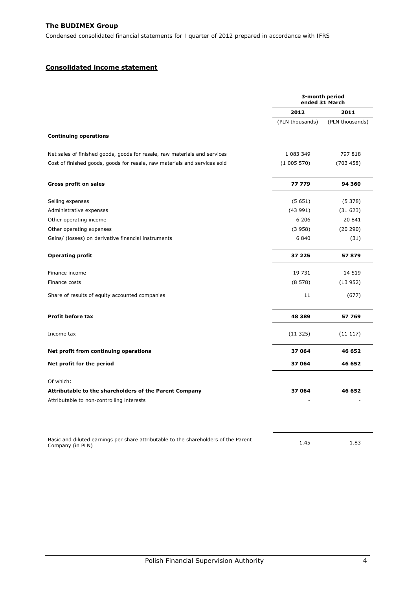## <span id="page-4-0"></span>**Consolidated income statement**

|                                                                                                         |                 | 3-month period<br>ended 31 March |
|---------------------------------------------------------------------------------------------------------|-----------------|----------------------------------|
|                                                                                                         | 2012            | 2011                             |
|                                                                                                         | (PLN thousands) | (PLN thousands)                  |
| <b>Continuing operations</b>                                                                            |                 |                                  |
| Net sales of finished goods, goods for resale, raw materials and services                               | 1 083 349       | 797 818                          |
| Cost of finished goods, goods for resale, raw materials and services sold                               | (1005570)       | (703 458)                        |
| <b>Gross profit on sales</b>                                                                            | 77 779          | 94 360                           |
| Selling expenses                                                                                        | (5651)          | (5378)                           |
| Administrative expenses                                                                                 | (43991)         | (31623)                          |
| Other operating income                                                                                  | 6 20 6          | 20 841                           |
| Other operating expenses                                                                                | (3958)          | (20 290)                         |
| Gains/ (losses) on derivative financial instruments                                                     | 6 8 4 0         | (31)                             |
| <b>Operating profit</b>                                                                                 | 37 225          | 57879                            |
| Finance income                                                                                          | 19 731          | 14 519                           |
| Finance costs                                                                                           | (8578)          | (13952)                          |
| Share of results of equity accounted companies                                                          | 11              | (677)                            |
| <b>Profit before tax</b>                                                                                | 48 389          | 57 769                           |
| Income tax                                                                                              | (11325)         | (11117)                          |
| Net profit from continuing operations                                                                   | 37 064          | 46 652                           |
| Net profit for the period                                                                               | 37 064          | 46 652                           |
| Of which:                                                                                               |                 |                                  |
| Attributable to the shareholders of the Parent Company                                                  | 37 064          | 46 652                           |
| Attributable to non-controlling interests                                                               |                 |                                  |
|                                                                                                         |                 |                                  |
| Basic and diluted earnings per share attributable to the shareholders of the Parent<br>Company (in PLN) | 1.45            | 1.83                             |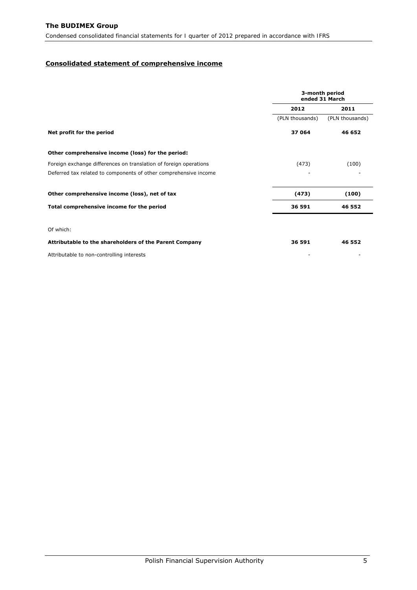## <span id="page-5-0"></span>**Consolidated statement of comprehensive income**

|                                                                   | 3-month period<br>ended 31 March |                 |  |
|-------------------------------------------------------------------|----------------------------------|-----------------|--|
|                                                                   | 2012                             | 2011            |  |
|                                                                   | (PLN thousands)                  | (PLN thousands) |  |
| Net profit for the period                                         | 37 064                           | 46 652          |  |
| Other comprehensive income (loss) for the period:                 |                                  |                 |  |
| Foreign exchange differences on translation of foreign operations | (473)                            | (100)           |  |
| Deferred tax related to components of other comprehensive income  |                                  |                 |  |
| Other comprehensive income (loss), net of tax                     | (473)                            | (100)           |  |
| Total comprehensive income for the period                         | 36 591                           | 46 552          |  |
| Of which:                                                         |                                  |                 |  |
| Attributable to the shareholders of the Parent Company            | 36 591                           | 46 552          |  |
| Attributable to non-controlling interests                         |                                  |                 |  |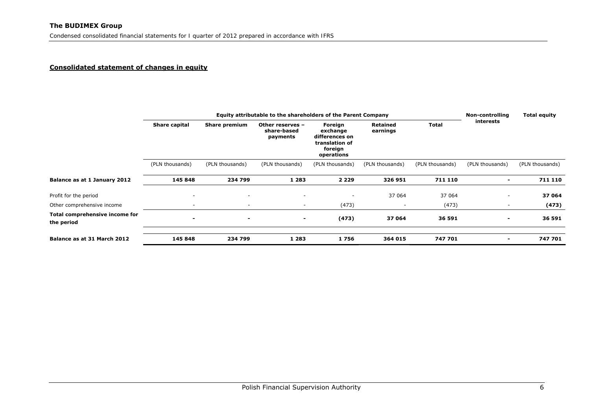#### **Consolidated statement of changes in equity**

<span id="page-6-0"></span>

|                                              | Equity attributable to the shareholders of the Parent Company |                          |                                             |                                                                                  |                             |                 | Non-controlling          | <b>Total equity</b> |  |
|----------------------------------------------|---------------------------------------------------------------|--------------------------|---------------------------------------------|----------------------------------------------------------------------------------|-----------------------------|-----------------|--------------------------|---------------------|--|
|                                              | Share capital                                                 | <b>Share premium</b>     | Other reserves -<br>share-based<br>payments | Foreign<br>exchange<br>differences on<br>translation of<br>foreign<br>operations | <b>Retained</b><br>earnings | <b>Total</b>    | <b>interests</b>         |                     |  |
|                                              | (PLN thousands)                                               | (PLN thousands)          | (PLN thousands)                             | (PLN thousands)                                                                  | (PLN thousands)             | (PLN thousands) | (PLN thousands)          | (PLN thousands)     |  |
| Balance as at 1 January 2012                 | 145 848                                                       | 234 799                  | 1 2 8 3                                     | 2 2 2 9                                                                          | 326 951                     | 711 110         | $\overline{\phantom{a}}$ | 711 110             |  |
| Profit for the period                        | $\overline{\phantom{a}}$                                      | $\overline{\phantom{a}}$ | $\overline{\phantom{a}}$                    | ٠                                                                                | 37 064                      | 37 064          | $\overline{\phantom{a}}$ | 37 064              |  |
| Other comprehensive income                   | ٠                                                             | $\sim$                   | ۰.                                          | (473)                                                                            |                             | (473)           | ۰                        | (473)               |  |
| Total comprehensive income for<br>the period | $\blacksquare$                                                | $\overline{\phantom{0}}$ | $\blacksquare$                              | (473)                                                                            | 37 064                      | 36 591          | $\blacksquare$           | 36 591              |  |
| Balance as at 31 March 2012                  | 145 848                                                       | 234 799                  | 1 2 8 3                                     | 1756                                                                             | 364 015                     | 747 701         | $\blacksquare$           | 747 701             |  |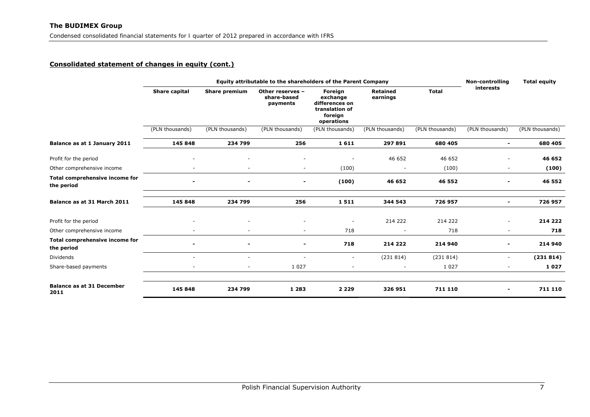## **Consolidated statement of changes in equity (cont.)**

<span id="page-7-0"></span>

|                                              |                          | <b>Non-controlling</b>   | <b>Total equity</b>                         |                                                                                  |                             |                 |                          |                 |
|----------------------------------------------|--------------------------|--------------------------|---------------------------------------------|----------------------------------------------------------------------------------|-----------------------------|-----------------|--------------------------|-----------------|
|                                              | Share capital            | <b>Share premium</b>     | Other reserves -<br>share-based<br>payments | Foreign<br>exchange<br>differences on<br>translation of<br>foreign<br>operations | <b>Retained</b><br>earnings | <b>Total</b>    | interests                |                 |
|                                              | (PLN thousands)          | (PLN thousands)          | (PLN thousands)                             | (PLN thousands)                                                                  | (PLN thousands)             | (PLN thousands) | (PLN thousands)          | (PLN thousands) |
| Balance as at 1 January 2011                 | 145 848                  | 234 799                  | 256                                         | 1611                                                                             | 297 891                     | 680 405         | $\overline{\phantom{0}}$ | 680 405         |
| Profit for the period                        | $\overline{\phantom{a}}$ | ٠                        | ٠                                           | $\overline{\phantom{a}}$                                                         | 46 652                      | 46 652          | $\overline{\phantom{0}}$ | 46 652          |
| Other comprehensive income                   | $\sim$                   | $\overline{\phantom{a}}$ | $\overline{\phantom{a}}$                    | (100)                                                                            |                             | (100)           | $\overline{\phantom{0}}$ | (100)           |
| Total comprehensive income for<br>the period |                          | $\blacksquare$           | $\blacksquare$                              | (100)                                                                            | 46 652                      | 46 552          | -                        | 46 552          |
| Balance as at 31 March 2011                  | 145 848                  | 234 799                  | 256                                         | 1511                                                                             | 344 543                     | 726 957         | $\overline{\phantom{0}}$ | 726 957         |
| Profit for the period                        |                          |                          |                                             | $\overline{\phantom{a}}$                                                         | 214 222                     | 214 222         | ۰.                       | 214 222         |
| Other comprehensive income                   |                          | ٠                        | $\overline{\phantom{a}}$                    | 718                                                                              |                             | 718             | $\overline{\phantom{0}}$ | 718             |
| Total comprehensive income for<br>the period |                          |                          | $\overline{\phantom{a}}$                    | 718                                                                              | 214 222                     | 214 940         |                          | 214 940         |
| <b>Dividends</b>                             | $\sim$                   | $\overline{\phantom{a}}$ | $\overline{\phantom{a}}$                    | $\sim$                                                                           | (231814)                    | (231814)        | $\overline{\phantom{0}}$ | (231814)        |
| Share-based payments                         | $\overline{\phantom{a}}$ | $\overline{\phantom{a}}$ | 1 0 2 7                                     | $\overline{\phantom{a}}$                                                         |                             | 1 0 2 7         | ٠                        | 1027            |
| <b>Balance as at 31 December</b><br>2011     | 145 848                  | 234 799                  | 1 2 8 3                                     | 2 2 2 9                                                                          | 326 951                     | 711 110         |                          | 711 110         |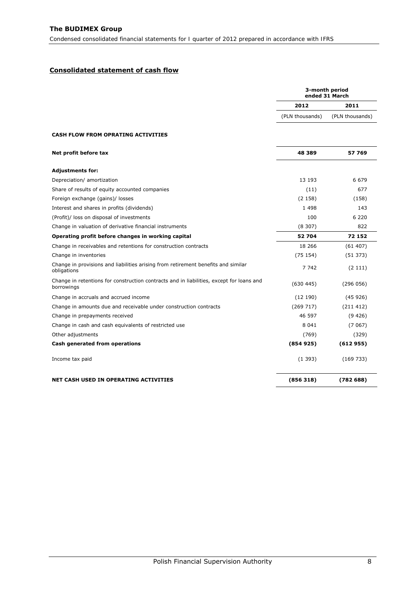## <span id="page-8-0"></span>**Consolidated statement of cash flow**

|                                                                                                        | 3-month period<br>ended 31 March |                 |
|--------------------------------------------------------------------------------------------------------|----------------------------------|-----------------|
|                                                                                                        | 2012                             | 2011            |
|                                                                                                        | (PLN thousands)                  | (PLN thousands) |
| <b>CASH FLOW FROM OPRATING ACTIVITIES</b>                                                              |                                  |                 |
| Net profit before tax                                                                                  | 48 389                           | 57 769          |
| Adjustments for:                                                                                       |                                  |                 |
| Depreciation/ amortization                                                                             | 13 193                           | 6 679           |
| Share of results of equity accounted companies                                                         | (11)                             | 677             |
| Foreign exchange (gains)/ losses                                                                       | (2158)                           | (158)           |
| Interest and shares in profits (dividends)                                                             | 1 4 9 8                          | 143             |
| (Profit)/ loss on disposal of investments                                                              | 100                              | 6 2 2 0         |
| Change in valuation of derivative financial instruments                                                | (8307)                           | 822             |
| Operating profit before changes in working capital                                                     | 52 704                           | 72 152          |
| Change in receivables and retentions for construction contracts                                        | 18 26 6                          | (61407)         |
| Change in inventories                                                                                  | (75154)                          | (51373)         |
| Change in provisions and liabilities arising from retirement benefits and similar<br>obligations       | 7 742                            | (2111)          |
| Change in retentions for construction contracts and in liabilities, except for loans and<br>borrowings | (630445)                         | (296 056)       |
| Change in accruals and accrued income                                                                  | (12190)                          | (45926)         |
| Change in amounts due and receivable under construction contracts                                      | (269717)                         | (211 412)       |
| Change in prepayments received                                                                         | 46 597                           | (9426)          |
| Change in cash and cash equivalents of restricted use                                                  | 8 0 4 1                          | (7067)          |
| Other adjustments                                                                                      | (769)                            | (329)           |
| Cash generated from operations                                                                         | (854925)                         | (612955)        |
| Income tax paid                                                                                        | (1393)                           | (169733)        |
| NET CASH USED IN OPERATING ACTIVITIES                                                                  | (856318)                         | (78268)         |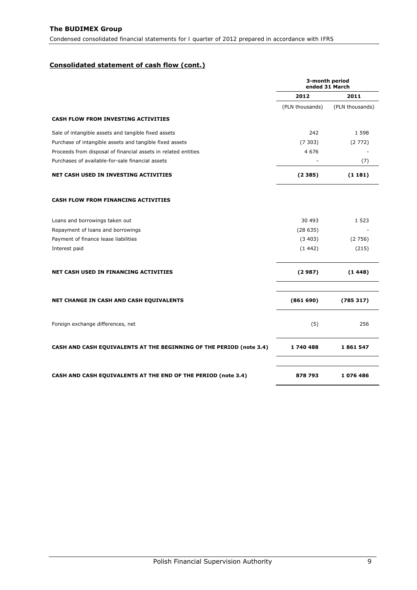# **Consolidated statement of cash flow (cont.)**

|                                                                            | 3-month period<br>ended 31 March |                 |  |
|----------------------------------------------------------------------------|----------------------------------|-----------------|--|
|                                                                            | 2012                             | 2011            |  |
|                                                                            | (PLN thousands)                  | (PLN thousands) |  |
| <b>CASH FLOW FROM INVESTING ACTIVITIES</b>                                 |                                  |                 |  |
| Sale of intangible assets and tangible fixed assets                        | 242                              | 1 5 9 8         |  |
| Purchase of intangible assets and tangible fixed assets                    | (7303)                           | (2772)          |  |
| Proceeds from disposal of financial assets in related entities             | 4 6 7 6                          |                 |  |
| Purchases of available-for-sale financial assets                           |                                  | (7)             |  |
| <b>NET CASH USED IN INVESTING ACTIVITIES</b>                               | (2385)                           | (1181)          |  |
| <b>CASH FLOW FROM FINANCING ACTIVITIES</b>                                 |                                  |                 |  |
| Loans and borrowings taken out                                             | 30 493                           | 1 5 2 3         |  |
| Repayment of loans and borrowings                                          | (28635)                          |                 |  |
| Payment of finance lease liabilities                                       | (3403)                           | (2756)          |  |
| Interest paid                                                              | (1442)                           | (215)           |  |
| <b>NET CASH USED IN FINANCING ACTIVITIES</b>                               | (2987)                           | (1448)          |  |
| NET CHANGE IN CASH AND CASH EQUIVALENTS                                    | (861690)                         | (785317)        |  |
| Foreign exchange differences, net                                          | (5)                              | 256             |  |
| <b>CASH AND CASH EQUIVALENTS AT THE BEGINNING OF THE PERIOD (note 3.4)</b> | 1740488                          | 1861547         |  |
| <b>CASH AND CASH EQUIVALENTS AT THE END OF THE PERIOD (note 3.4)</b>       | 878 793                          | 1076486         |  |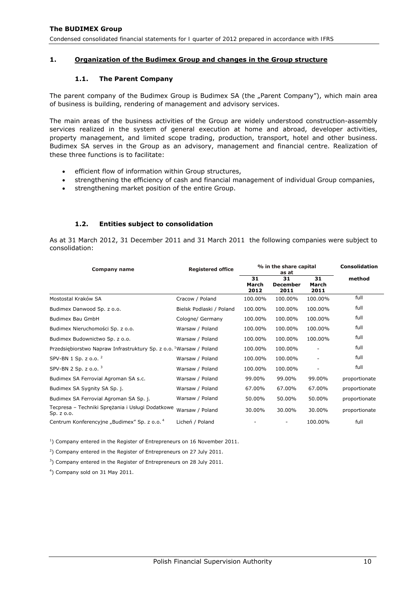## <span id="page-10-0"></span>**1. Organization of the Budimex Group and changes in the Group structure**

## **1.1. The Parent Company**

The parent company of the Budimex Group is Budimex SA (the "Parent Company"), which main area of business is building, rendering of management and advisory services.

The main areas of the business activities of the Group are widely understood construction-assembly services realized in the system of general execution at home and abroad, developer activities, property management, and limited scope trading, production, transport, hotel and other business. Budimex SA serves in the Group as an advisory, management and financial centre. Realization of these three functions is to facilitate:

- efficient flow of information within Group structures,
- strengthening the efficiency of cash and financial management of individual Group companies,
- strengthening market position of the entire Group.

## **1.2. Entities subject to consolidation**

As at 31 March 2012, 31 December 2011 and 31 March 2011 the following companies were subject to consolidation:

| Company name                                                                   | <b>Registered office</b> |                     | % in the share capital<br>as at | <b>Consolidation</b> |               |
|--------------------------------------------------------------------------------|--------------------------|---------------------|---------------------------------|----------------------|---------------|
|                                                                                |                          | 31<br>March<br>2012 | 31<br><b>December</b><br>2011   | 31<br>March<br>2011  | method        |
| Mostostal Kraków SA                                                            | Cracow / Poland          | 100.00%             | 100.00%                         | 100.00%              | full          |
| Budimex Danwood Sp. z o.o.                                                     | Bielsk Podlaski / Poland | 100.00%             | 100.00%                         | 100.00%              | full          |
| Budimex Bau GmbH                                                               | Cologne/ Germany         | 100.00%             | 100.00%                         | 100.00%              | full          |
| Budimex Nieruchomości Sp. z o.o.                                               | Warsaw / Poland          | 100.00%             | 100.00%                         | 100.00%              | full          |
| Budimex Budownictwo Sp. z o.o.                                                 | Warsaw / Poland          | 100.00%             | 100.00%                         | 100.00%              | full          |
| Przedsiębiorstwo Napraw Infrastruktury Sp. z o.o. <sup>1</sup> Warsaw / Poland |                          | 100.00%             | 100.00%                         |                      | full          |
| SPV-BN 1 Sp. z $0.0$ . <sup>2</sup>                                            | Warsaw / Poland          | 100.00%             | 100.00%                         | -                    | full          |
| SPV-BN 2 Sp. z $0.0$ . <sup>3</sup>                                            | Warsaw / Poland          | 100.00%             | 100.00%                         | $\overline{a}$       | full          |
| Budimex SA Ferrovial Agroman SA s.c.                                           | Warsaw / Poland          | 99.00%              | 99.00%                          | 99.00%               | proportionate |
| Budimex SA Sygnity SA Sp. j.                                                   | Warsaw / Poland          | 67.00%              | 67.00%                          | 67.00%               | proportionate |
| Budimex SA Ferrovial Agroman SA Sp. j.                                         | Warsaw / Poland          | 50.00%              | 50.00%                          | 50.00%               | proportionate |
| Tecpresa - Techniki Sprężania i Usługi Dodatkowe<br>Sp. z o.o.                 | Warsaw / Poland          | 30.00%              | 30.00%                          | 30.00%               | proportionate |
| Centrum Konferencyjne "Budimex" Sp. z o.o. <sup>4</sup>                        | Licheń / Poland          |                     |                                 | 100.00%              | full          |

 $<sup>1</sup>$ ) Company entered in the Register of Entrepreneurs on 16 November 2011.</sup>

 $2$ ) Company entered in the Register of Entrepreneurs on 27 July 2011.

<sup>3</sup>) Company entered in the Register of Entrepreneurs on 28 July 2011.

4 ) Company sold on 31 May 2011.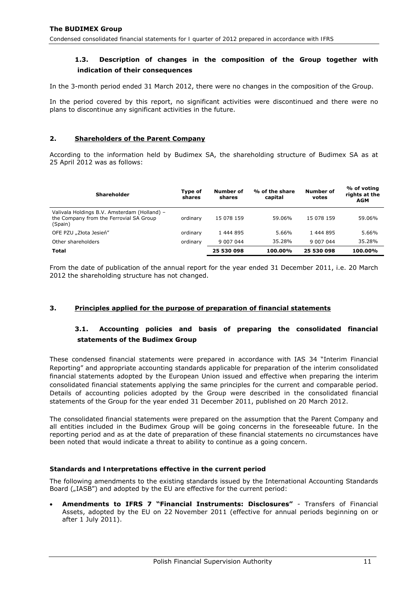# <span id="page-11-0"></span>**1.3. Description of changes in the composition of the Group together with indication of their consequences**

In the 3-month period ended 31 March 2012, there were no changes in the composition of the Group.

In the period covered by this report, no significant activities were discontinued and there were no plans to discontinue any significant activities in the future.

## **2. Shareholders of the Parent Company**

According to the information held by Budimex SA, the shareholding structure of Budimex SA as at 25 April 2012 was as follows:

| Shareholder                                                                                        | Type of<br>shares | Number of<br>shares | % of the share<br>capital | Number of<br>votes | % of voting<br>rights at the<br><b>AGM</b> |
|----------------------------------------------------------------------------------------------------|-------------------|---------------------|---------------------------|--------------------|--------------------------------------------|
| Valivala Holdings B.V. Amsterdam (Holland) -<br>the Company from the Ferrovial SA Group<br>(Spain) | ordinary          | 15 078 159          | 59.06%                    | 15 078 159         | 59.06%                                     |
| OFE PZU "Złota Jesień"                                                                             | ordinary          | 1 444 895           | 5.66%                     | 1 444 895          | 5.66%                                      |
| Other shareholders                                                                                 | ordinary          | 9 007 044           | 35.28%                    | 9 007 044          | 35.28%                                     |
| Total                                                                                              |                   | 25 530 098          | 100.00%                   | 25 530 098         | 100.00%                                    |

From the date of publication of the annual report for the year ended 31 December 2011, i.e. 20 March 2012 the shareholding structure has not changed.

## **3. Principles applied for the purpose of preparation of financial statements**

# **3.1. Accounting policies and basis of preparing the consolidated financial statements of the Budimex Group**

These condensed financial statements were prepared in accordance with IAS 34 "Interim Financial Reporting" and appropriate accounting standards applicable for preparation of the interim consolidated financial statements adopted by the European Union issued and effective when preparing the interim consolidated financial statements applying the same principles for the current and comparable period. Details of accounting policies adopted by the Group were described in the consolidated financial statements of the Group for the year ended 31 December 2011, published on 20 March 2012.

The consolidated financial statements were prepared on the assumption that the Parent Company and all entities included in the Budimex Group will be going concerns in the foreseeable future. In the reporting period and as at the date of preparation of these financial statements no circumstances have been noted that would indicate a threat to ability to continue as a going concern.

#### *Standards and Interpretations effective in the current period*

The following amendments to the existing standards issued by the International Accounting Standards Board ("IASB") and adopted by the EU are effective for the current period:

• **Amendments to IFRS 7 "Financial Instruments: Disclosures"** - Transfers of Financial Assets, adopted by the EU on 22 November 2011 (effective for annual periods beginning on or after 1 July 2011).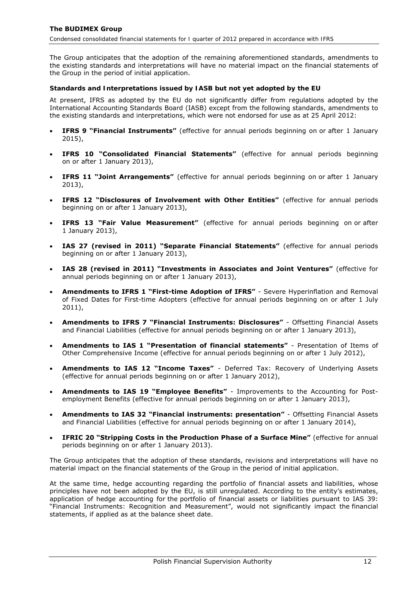The Group anticipates that the adoption of the remaining aforementioned standards, amendments to the existing standards and interpretations will have no material impact on the financial statements of the Group in the period of initial application.

#### *Standards and Interpretations issued by IASB but not yet adopted by the EU*

At present, IFRS as adopted by the EU do not significantly differ from regulations adopted by the International Accounting Standards Board (IASB) except from the following standards, amendments to the existing standards and interpretations, which were not endorsed for use as at 25 April 2012:

- **IFRS 9 "Financial Instruments"** (effective for annual periods beginning on or after 1 January 2015),
- **IFRS 10 "Consolidated Financial Statements"** (effective for annual periods beginning on or after 1 January 2013),
- **IFRS 11 "Joint Arrangements"** (effective for annual periods beginning on or after 1 January 2013),
- **IFRS 12 "Disclosures of Involvement with Other Entities"** (effective for annual periods beginning on or after 1 January 2013),
- **IFRS 13 "Fair Value Measurement"** (effective for annual periods beginning on or after 1 January 2013),
- **IAS 27 (revised in 2011) "Separate Financial Statements"** (effective for annual periods beginning on or after 1 January 2013),
- **IAS 28 (revised in 2011) "Investments in Associates and Joint Ventures"** (effective for annual periods beginning on or after 1 January 2013),
- **Amendments to IFRS 1 "First-time Adoption of IFRS"** Severe Hyperinflation and Removal of Fixed Dates for First-time Adopters (effective for annual periods beginning on or after 1 July 2011),
- **Amendments to IFRS 7 "Financial Instruments: Disclosures"** Offsetting Financial Assets and Financial Liabilities (effective for annual periods beginning on or after 1 January 2013),
- **Amendments to IAS 1 "Presentation of financial statements"** Presentation of Items of Other Comprehensive Income (effective for annual periods beginning on or after 1 July 2012),
- **Amendments to IAS 12 "Income Taxes"** Deferred Tax: Recovery of Underlying Assets (effective for annual periods beginning on or after 1 January 2012),
- **Amendments to IAS 19 "Employee Benefits"** Improvements to the Accounting for Postemployment Benefits (effective for annual periods beginning on or after 1 January 2013),
- **Amendments to IAS 32 "Financial instruments: presentation"** Offsetting Financial Assets and Financial Liabilities (effective for annual periods beginning on or after 1 January 2014),
- **IFRIC 20 "Stripping Costs in the Production Phase of a Surface Mine"** (effective for annual periods beginning on or after 1 January 2013).

The Group anticipates that the adoption of these standards, revisions and interpretations will have no material impact on the financial statements of the Group in the period of initial application.

At the same time, hedge accounting regarding the portfolio of financial assets and liabilities, whose principles have not been adopted by the EU, is still unregulated. According to the entity's estimates, application of hedge accounting for the portfolio of financial assets or liabilities pursuant to IAS 39: "Financial Instruments: Recognition and Measurement", would not significantly impact the financial statements, if applied as at the balance sheet date.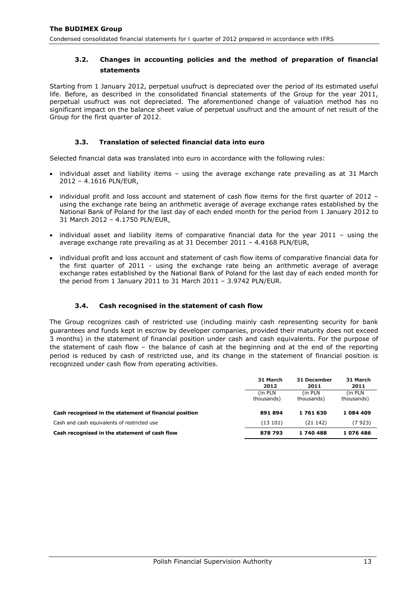# <span id="page-13-0"></span>**3.2. Changes in accounting policies and the method of preparation of financial statements**

Starting from 1 January 2012, perpetual usufruct is depreciated over the period of its estimated useful life. Before, as described in the consolidated financial statements of the Group for the year 2011, perpetual usufruct was not depreciated. The aforementioned change of valuation method has no significant impact on the balance sheet value of perpetual usufruct and the amount of net result of the Group for the first quarter of 2012.

## **3.3. Translation of selected financial data into euro**

Selected financial data was translated into euro in accordance with the following rules:

- individual asset and liability items using the average exchange rate prevailing as at 31 March 2012 – 4.1616 PLN/EUR,
- individual profit and loss account and statement of cash flow items for the first quarter of 2012 using the exchange rate being an arithmetic average of average exchange rates established by the National Bank of Poland for the last day of each ended month for the period from 1 January 2012 to 31 March 2012 – 4.1750 PLN/EUR,
- individual asset and liability items of comparative financial data for the year 2011 using the average exchange rate prevailing as at 31 December 2011 – 4.4168 PLN/EUR,
- individual profit and loss account and statement of cash flow items of comparative financial data for the first quarter of 2011 - using the exchange rate being an arithmetic average of average exchange rates established by the National Bank of Poland for the last day of each ended month for the period from 1 January 2011 to 31 March 2011 – 3.9742 PLN/EUR.

## **3.4. Cash recognised in the statement of cash flow**

<span id="page-13-1"></span>The Group recognizes cash of restricted use (including mainly cash representing security for bank guarantees and funds kept in escrow by developer companies, provided their maturity does not exceed 3 months) in the statement of financial position under cash and cash equivalents. For the purpose of the statement of cash flow – the balance of cash at the beginning and at the end of the reporting period is reduced by cash of restricted use, and its change in the statement of financial position is recognized under cash flow from operating activities.

|                                                        | 31 March<br>2012       | 31 December<br>2011    | 31 March<br>2011      |
|--------------------------------------------------------|------------------------|------------------------|-----------------------|
|                                                        | (in PLN)<br>thousands) | (in PLN)<br>thousands) | (in PLN<br>thousands) |
| Cash recognised in the statement of financial position | 891894                 | 1761630                | 1084409               |
| Cash and cash equivalents of restricted use            | (13101)                | (21 142)               | (7923)                |
| Cash recognised in the statement of cash flow          | 878 793                | 1740488                | 1076486               |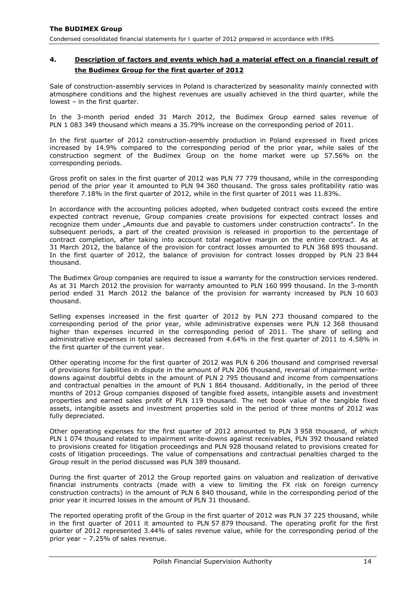## <span id="page-14-0"></span>**4. Description of factors and events which had a material effect on a financial result of the Budimex Group for the first quarter of 2012**

Sale of construction-assembly services in Poland is characterized by seasonality mainly connected with atmosphere conditions and the highest revenues are usually achieved in the third quarter, while the lowest – in the first quarter.

In the 3-month period ended 31 March 2012, the Budimex Group earned sales revenue of PLN 1 083 349 thousand which means a 35.79% increase on the corresponding period of 2011.

In the first quarter of 2012 construction-assembly production in Poland expressed in fixed prices increased by 14.9% compared to the corresponding period of the prior year, while sales of the construction segment of the Budimex Group on the home market were up 57.56% on the corresponding periods.

Gross profit on sales in the first quarter of 2012 was PLN 77 779 thousand, while in the corresponding period of the prior year it amounted to PLN 94 360 thousand. The gross sales profitability ratio was therefore 7.18% in the first quarter of 2012, while in the first quarter of 2011 was 11.83%.

In accordance with the accounting policies adopted, when budgeted contract costs exceed the entire expected contract revenue, Group companies create provisions for expected contract losses and recognize them under "Amounts due and payable to customers under construction contracts". In the subsequent periods, a part of the created provision is released in proportion to the percentage of contract completion, after taking into account total negative margin on the entire contract. As at 31 March 2012, the balance of the provision for contract losses amounted to PLN 368 895 thousand. In the first quarter of 2012, the balance of provision for contract losses dropped by PLN 23 844 thousand.

The Budimex Group companies are required to issue a warranty for the construction services rendered. As at 31 March 2012 the provision for warranty amounted to PLN 160 999 thousand. In the 3-month period ended 31 March 2012 the balance of the provision for warranty increased by PLN 10 603 thousand.

Selling expenses increased in the first quarter of 2012 by PLN 273 thousand compared to the corresponding period of the prior year, while administrative expenses were PLN 12 368 thousand higher than expenses incurred in the corresponding period of 2011. The share of selling and administrative expenses in total sales decreased from 4.64% in the first quarter of 2011 to 4.58% in the first quarter of the current year.

Other operating income for the first quarter of 2012 was PLN 6 206 thousand and comprised reversal of provisions for liabilities in dispute in the amount of PLN 206 thousand, reversal of impairment writedowns against doubtful debts in the amount of PLN 2 795 thousand and income from compensations and contractual penalties in the amount of PLN 1 864 thousand. Additionally, in the period of three months of 2012 Group companies disposed of tangible fixed assets, intangible assets and investment properties and earned sales profit of PLN 119 thousand. The net book value of the tangible fixed assets, intangible assets and investment properties sold in the period of three months of 2012 was fully depreciated.

Other operating expenses for the first quarter of 2012 amounted to PLN 3 958 thousand, of which PLN 1 074 thousand related to impairment write-downs against receivables, PLN 392 thousand related to provisions created for litigation proceedings and PLN 928 thousand related to provisions created for costs of litigation proceedings. The value of compensations and contractual penalties charged to the Group result in the period discussed was PLN 389 thousand.

During the first quarter of 2012 the Group reported gains on valuation and realization of derivative financial instruments contracts (made with a view to limiting the FX risk on foreign currency construction contracts) in the amount of PLN 6 840 thousand, while in the corresponding period of the prior year it incurred losses in the amount of PLN 31 thousand.

The reported operating profit of the Group in the first quarter of 2012 was PLN 37 225 thousand, while in the first quarter of 2011 it amounted to PLN 57 879 thousand. The operating profit for the first quarter of 2012 represented 3.44% of sales revenue value, while for the corresponding period of the prior year – 7.25% of sales revenue.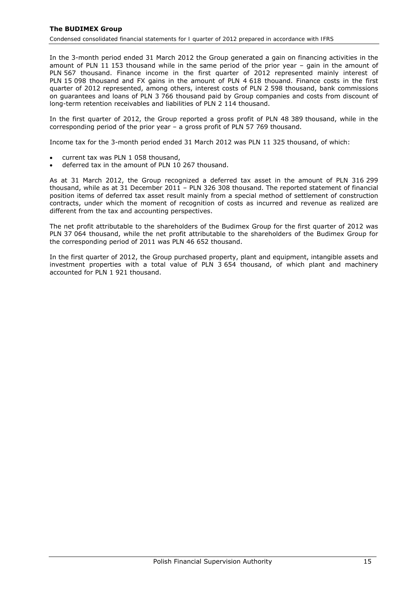## **The BUDIMEX Group**

*Condensed consolidated financial statements for I quarter of 2012 prepared in accordance with IFRS* 

In the 3-month period ended 31 March 2012 the Group generated a gain on financing activities in the amount of PLN 11 153 thousand while in the same period of the prior year – gain in the amount of PLN 567 thousand. Finance income in the first quarter of 2012 represented mainly interest of PLN 15 098 thousand and FX gains in the amount of PLN 4 618 thouand. Finance costs in the first quarter of 2012 represented, among others, interest costs of PLN 2 598 thousand, bank commissions on guarantees and loans of PLN 3 766 thousand paid by Group companies and costs from discount of long-term retention receivables and liabilities of PLN 2 114 thousand.

In the first quarter of 2012, the Group reported a gross profit of PLN 48 389 thousand, while in the corresponding period of the prior year – a gross profit of PLN 57 769 thousand.

Income tax for the 3-month period ended 31 March 2012 was PLN 11 325 thousand, of which:

- current tax was PLN 1 058 thousand,
- deferred tax in the amount of PLN 10 267 thousand.

As at 31 March 2012, the Group recognized a deferred tax asset in the amount of PLN 316 299 thousand, while as at  $31$  December 2011 – PLN 326 308 thousand. The reported statement of financial position items of deferred tax asset result mainly from a special method of settlement of construction contracts, under which the moment of recognition of costs as incurred and revenue as realized are different from the tax and accounting perspectives.

The net profit attributable to the shareholders of the Budimex Group for the first quarter of 2012 was PLN 37 064 thousand, while the net profit attributable to the shareholders of the Budimex Group for the corresponding period of 2011 was PLN 46 652 thousand.

In the first quarter of 2012, the Group purchased property, plant and equipment, intangible assets and investment properties with a total value of PLN 3 654 thousand, of which plant and machinery accounted for PLN 1 921 thousand.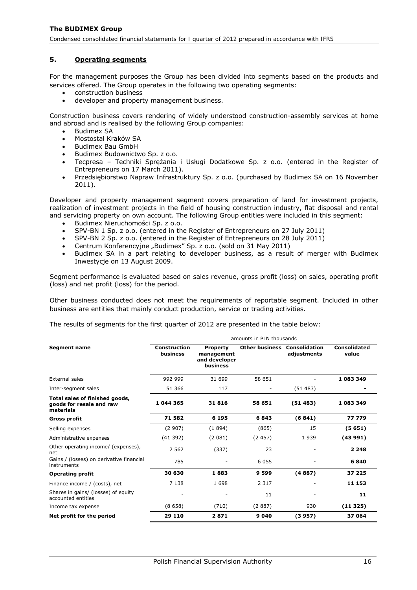#### <span id="page-16-0"></span>**5. Operating segments**

For the management purposes the Group has been divided into segments based on the products and services offered. The Group operates in the following two operating segments:

- construction business
- developer and property management business.

Construction business covers rendering of widely understood construction-assembly services at home and abroad and is realised by the following Group companies:

- Budimex SA
- Mostostal Kraków SA
- Budimex Bau GmbH
- Budimex Budownictwo Sp. z o.o.
- Tecpresa Techniki Sprężania i Usługi Dodatkowe Sp. z o.o. (entered in the Register of Entrepreneurs on 17 March 2011).
- Przedsiębiorstwo Napraw Infrastruktury Sp. z o.o. (purchased by Budimex SA on 16 November 2011).

Developer and property management segment covers preparation of land for investment projects, realization of investment projects in the field of housing construction industry, flat disposal and rental and servicing property on own account. The following Group entities were included in this segment:

- Budimex Nieruchomości Sp. z o.o.
- SPV-BN 1 Sp. z o.o. (entered in the Register of Entrepreneurs on 27 July 2011)
- SPV-BN 2 Sp. z o.o. (entered in the Register of Entrepreneurs on 28 July 2011)
- Centrum Konferencyjne "Budimex" Sp. z o.o. (sold on 31 May 2011)
- Budimex SA in a part relating to developer business, as a result of merger with Budimex Inwestycje on 13 August 2009.

Segment performance is evaluated based on sales revenue, gross profit (loss) on sales, operating profit (loss) and net profit (loss) for the period.

Other business conducted does not meet the requirements of reportable segment. Included in other business are entities that mainly conduct production, service or trading activities.

The results of segments for the first quarter of 2012 are presented in the table below:

|                                                                         | amounts in PLN thousands        |                                                            |                       |                                     |                       |  |
|-------------------------------------------------------------------------|---------------------------------|------------------------------------------------------------|-----------------------|-------------------------------------|-----------------------|--|
| <b>Segment name</b>                                                     | <b>Construction</b><br>business | <b>Property</b><br>management<br>and developer<br>business | <b>Other business</b> | <b>Consolidation</b><br>adiustments | Consolidated<br>value |  |
| External sales                                                          | 992 999                         | 31 699                                                     | 58 651                |                                     | 1 083 349             |  |
| Inter-segment sales                                                     | 51 366                          | 117                                                        |                       | (51483)                             |                       |  |
| Total sales of finished goods,<br>goods for resale and raw<br>materials | 1 044 365                       | 31816                                                      | 58 651                | (51483)                             | 1 083 349             |  |
| Gross profit                                                            | 71 582                          | 6 1 9 5                                                    | 6843                  | (6841)                              | 77 779                |  |
| Selling expenses                                                        | (2907)                          | (1894)                                                     | (865)                 | 15                                  | (5651)                |  |
| Administrative expenses                                                 | (41392)                         | (2081)                                                     | (2457)                | 1939                                | (43991)               |  |
| Other operating income/ (expenses),<br>net                              | 2 5 6 2                         | (337)                                                      | 23                    |                                     | 2 2 4 8               |  |
| Gains / (losses) on derivative financial<br>instruments                 | 785                             |                                                            | 6 0 5 5               |                                     | 6840                  |  |
| <b>Operating profit</b>                                                 | 30 630                          | 1883                                                       | 9 5 9 9               | (4887)                              | 37 225                |  |
| Finance income / (costs), net                                           | 7 1 3 8                         | 1698                                                       | 2 3 1 7               |                                     | 11 153                |  |
| Shares in gains/ (losses) of equity<br>accounted entities               |                                 |                                                            | 11                    |                                     | 11                    |  |
| Income tax expense                                                      | (8658)                          | (710)                                                      | (2887)                | 930                                 | (11325)               |  |
| Net profit for the period                                               | 29 110                          | 2871                                                       | 9 0 4 0               | (3957)                              | 37 064                |  |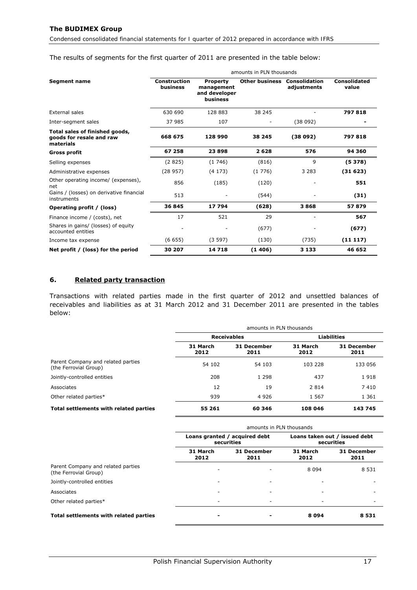## <span id="page-17-0"></span>The results of segments for the first quarter of 2011 are presented in the table below:

|                                                                         | amounts in PLN thousands        |                                                            |                       |                                     |                       |
|-------------------------------------------------------------------------|---------------------------------|------------------------------------------------------------|-----------------------|-------------------------------------|-----------------------|
| <b>Segment name</b>                                                     | <b>Construction</b><br>business | <b>Property</b><br>management<br>and developer<br>business | <b>Other business</b> | <b>Consolidation</b><br>adjustments | Consolidated<br>value |
| External sales                                                          | 630 690                         | 128 883                                                    | 38 245                |                                     | 797818                |
| Inter-segment sales                                                     | 37 985                          | 107                                                        | ٠                     | (38092)                             |                       |
| Total sales of finished goods,<br>goods for resale and raw<br>materials | 668 675                         | 128 990                                                    | 38 245                | (38092)                             | 797818                |
| <b>Gross profit</b>                                                     | 67 258                          | 23898                                                      | 2628                  | 576                                 | 94 360                |
| Selling expenses                                                        | (2825)                          | (1746)                                                     | (816)                 | 9                                   | (5378)                |
| Administrative expenses                                                 | (28957)                         | (4173)                                                     | (1776)                | 3 2 8 3                             | (31623)               |
| Other operating income/ (expenses),<br>net                              | 856                             | (185)                                                      | (120)                 |                                     | 551                   |
| Gains / (losses) on derivative financial<br>instruments                 | 513                             |                                                            | (544)                 |                                     | (31)                  |
| Operating profit / (loss)                                               | 36 845                          | 17 794                                                     | (628)                 | 3868                                | 57879                 |
| Finance income / (costs), net                                           | 17                              | 521                                                        | 29                    |                                     | 567                   |
| Shares in gains/ (losses) of equity<br>accounted entities               |                                 |                                                            | (677)                 |                                     | (677)                 |
| Income tax expense                                                      | (6655)                          | (3597)                                                     | (130)                 | (735)                               | (11117)               |
| Net profit / (loss) for the period                                      | 30 207                          | 14718                                                      | (1406)                | 3 1 3 3                             | 46 652                |

## **6. Related party transaction**

Transactions with related parties made in the first quarter of 2012 and unsettled balances of receivables and liabilities as at 31 March 2012 and 31 December 2011 are presented in the tables below:

|                                                             | amounts in PLN thousands |                     |                  |                     |
|-------------------------------------------------------------|--------------------------|---------------------|------------------|---------------------|
|                                                             | <b>Receivables</b>       |                     |                  | <b>Liabilities</b>  |
|                                                             | 31 March<br>2012         | 31 December<br>2011 | 31 March<br>2012 | 31 December<br>2011 |
| Parent Company and related parties<br>(the Ferrovial Group) | 54 102                   | 54 103              | 103 228          | 133 056             |
| Jointly-controlled entities                                 | 208                      | 1 2 9 8             | 437              | 1918                |
| Associates                                                  | 12                       | 19                  | 2 8 1 4          | 7410                |
| Other related parties*                                      | 939                      | 4 9 2 6             | 1 5 6 7          | 1 3 6 1             |
| Total settlements with related parties                      | 55 261                   | 60 346              | 108 046          | 143745              |

|                                                             | amounts in PLN thousands                    |                     |                                             |                            |
|-------------------------------------------------------------|---------------------------------------------|---------------------|---------------------------------------------|----------------------------|
|                                                             | Loans granted / acquired debt<br>securities |                     | Loans taken out / issued debt<br>securities |                            |
|                                                             | 31 March<br>2012                            | 31 December<br>2011 | 31 March<br>2012                            | <b>31 December</b><br>2011 |
| Parent Company and related parties<br>(the Ferrovial Group) |                                             | ٠                   | 8 0 9 4                                     | 8 5 3 1                    |
| Jointly-controlled entities                                 |                                             | ۰                   |                                             |                            |
| Associates                                                  |                                             | ٠                   | $\overline{\phantom{a}}$                    |                            |
| Other related parties*                                      |                                             | ٠                   | $\overline{\phantom{a}}$                    |                            |
| Total settlements with related parties                      |                                             |                     | 8094                                        | 8531                       |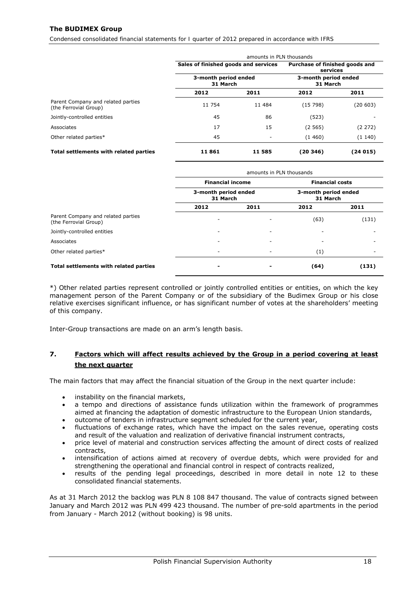## <span id="page-18-0"></span>**The BUDIMEX Group**

*Condensed consolidated financial statements for I quarter of 2012 prepared in accordance with IFRS* 

|                                                             | amounts in PLN thousands             |                                  |                                            |                                  |
|-------------------------------------------------------------|--------------------------------------|----------------------------------|--------------------------------------------|----------------------------------|
|                                                             | Sales of finished goods and services |                                  | Purchase of finished goods and<br>services |                                  |
|                                                             |                                      | 3-month period ended<br>31 March |                                            | 3-month period ended<br>31 March |
|                                                             | 2012                                 | 2011                             | 2012                                       | 2011                             |
| Parent Company and related parties<br>(the Ferrovial Group) | 11 754                               | 11 484                           | (15798)                                    | (20 603)                         |
| Jointly-controlled entities                                 | 45                                   | 86                               | (523)                                      |                                  |
| Associates                                                  | 17                                   | 15                               | (2565)                                     | (2 272)                          |
| Other related parties*                                      | 45                                   | $\overline{\phantom{a}}$         | (1460)                                     | (1140)                           |
| Total settlements with related parties                      | 11861                                | 11 585                           | (20 346)                                   | (24 015)                         |

|                                                             | amounts in PLN thousands                                    |      |                                                            |       |
|-------------------------------------------------------------|-------------------------------------------------------------|------|------------------------------------------------------------|-------|
|                                                             | <b>Financial income</b><br>3-month period ended<br>31 March |      | <b>Financial costs</b><br>3-month period ended<br>31 March |       |
|                                                             |                                                             |      |                                                            |       |
|                                                             | 2012                                                        | 2011 | 2012                                                       | 2011  |
| Parent Company and related parties<br>(the Ferrovial Group) |                                                             |      | (63)                                                       | (131) |
| Jointly-controlled entities                                 |                                                             | ۰    |                                                            |       |
| Associates                                                  |                                                             | ۰    |                                                            |       |
| Other related parties*                                      |                                                             |      | (1)                                                        |       |
| Total settlements with related parties                      |                                                             |      | (64)                                                       | (131) |

\*) Other related parties represent controlled or jointly controlled entities or entities, on which the key management person of the Parent Company or of the subsidiary of the Budimex Group or his close relative exercises significant influence, or has significant number of votes at the shareholders' meeting of this company.

Inter-Group transactions are made on an arm's length basis.

## **7. Factors which will affect results achieved by the Group in a period covering at least the next quarter**

The main factors that may affect the financial situation of the Group in the next quarter include:

- instability on the financial markets,
- a tempo and directions of assistance funds utilization within the framework of programmes aimed at financing the adaptation of domestic infrastructure to the European Union standards,
- outcome of tenders in infrastructure segment scheduled for the current year,
- fluctuations of exchange rates, which have the impact on the sales revenue, operating costs and result of the valuation and realization of derivative financial instrument contracts,
- price level of material and construction services affecting the amount of direct costs of realized contracts,
- intensification of actions aimed at recovery of overdue debts, which were provided for and strengthening the operational and financial control in respect of contracts realized,
- results of the pending legal proceedings, described in more detail in note 12 to these consolidated financial statements.

As at 31 March 2012 the backlog was PLN 8 108 847 thousand. The value of contracts signed between January and March 2012 was PLN 499 423 thousand. The number of pre-sold apartments in the period from January - March 2012 (without booking) is 98 units.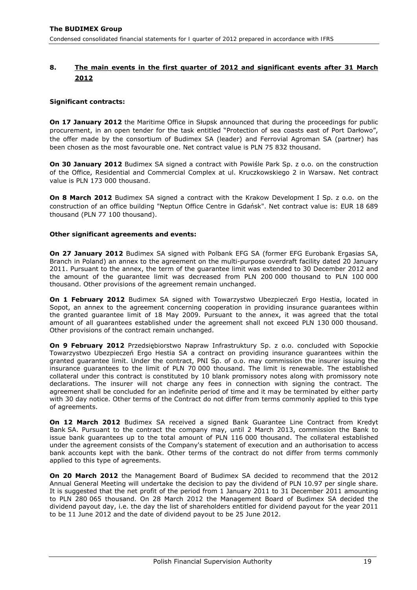# <span id="page-19-0"></span>**8. The main events in the first quarter of 2012 and significant events after 31 March 2012**

## *Significant contracts:*

**On 17 January 2012** the Maritime Office in Słupsk announced that during the proceedings for public procurement, in an open tender for the task entitled "Protection of sea coasts east of Port Darłowo", the offer made by the consortium of Budimex SA (leader) and Ferrovial Agroman SA (partner) has been chosen as the most favourable one. Net contract value is PLN 75 832 thousand.

**On 30 January 2012** Budimex SA signed a contract with Powiśle Park Sp. z o.o. on the construction of the Office, Residential and Commercial Complex at ul. Kruczkowskiego 2 in Warsaw. Net contract value is PLN 173 000 thousand.

**On 8 March 2012** Budimex SA signed a contract with the Krakow Development I Sp. z o.o. on the construction of an office building "Neptun Office Centre in Gdańsk". Net contract value is: EUR 18 689 thousand (PLN 77 100 thousand).

#### *Other significant agreements and events:*

**On 27 January 2012** Budimex SA signed with Polbank EFG SA (former EFG Eurobank Ergasias SA, Branch in Poland) an annex to the agreement on the multi-purpose overdraft facility dated 20 January 2011. Pursuant to the annex, the term of the guarantee limit was extended to 30 December 2012 and the amount of the guarantee limit was decreased from PLN 200 000 thousand to PLN 100 000 thousand. Other provisions of the agreement remain unchanged.

**On 1 February 2012** Budimex SA signed with Towarzystwo Ubezpieczeń Ergo Hestia, located in Sopot, an annex to the agreement concerning cooperation in providing insurance guarantees within the granted guarantee limit of 18 May 2009. Pursuant to the annex, it was agreed that the total amount of all guarantees established under the agreement shall not exceed PLN 130 000 thousand. Other provisions of the contract remain unchanged.

**On 9 February 2012** Przedsiębiorstwo Napraw Infrastruktury Sp. z o.o. concluded with Sopockie Towarzystwo Ubezpieczeń Ergo Hestia SA a contract on providing insurance guarantees within the granted guarantee limit. Under the contract, PNI Sp. of o.o. may commission the insurer issuing the insurance guarantees to the limit of PLN 70 000 thousand. The limit is renewable. The established collateral under this contract is constituted by 10 blank promissory notes along with promissory note declarations. The insurer will not charge any fees in connection with signing the contract. The agreement shall be concluded for an indefinite period of time and it may be terminated by either party with 30 day notice. Other terms of the Contract do not differ from terms commonly applied to this type of agreements.

**On 12 March 2012** Budimex SA received a signed Bank Guarantee Line Contract from Kredyt Bank SA. Pursuant to the contract the company may, until 2 March 2013, commission the Bank to issue bank guarantees up to the total amount of PLN 116 000 thousand. The collateral established under the agreement consists of the Company's statement of execution and an authorisation to access bank accounts kept with the bank. Other terms of the contract do not differ from terms commonly applied to this type of agreements.

**On 20 March 2012** the Management Board of Budimex SA decided to recommend that the 2012 Annual General Meeting will undertake the decision to pay the dividend of PLN 10.97 per single share. It is suggested that the net profit of the period from 1 January 2011 to 31 December 2011 amounting to PLN 280 065 thousand. On 28 March 2012 the Management Board of Budimex SA decided the dividend payout day, i.e. the day the list of shareholders entitled for dividend payout for the year 2011 to be 11 June 2012 and the date of dividend payout to be 25 June 2012.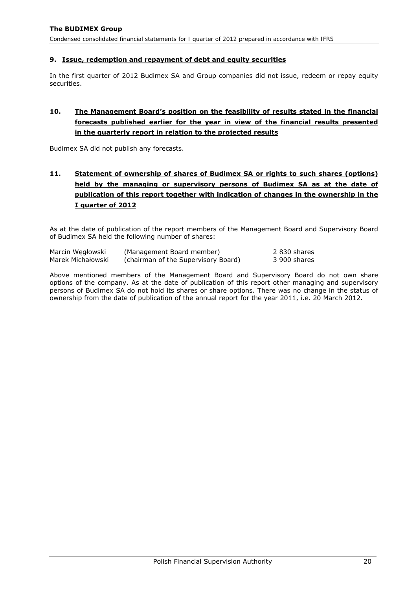#### <span id="page-20-0"></span>**9. Issue, redemption and repayment of debt and equity securities**

In the first quarter of 2012 Budimex SA and Group companies did not issue, redeem or repay equity securities.

# **10. The Management Board's position on the feasibility of results stated in the financial forecasts published earlier for the year in view of the financial results presented in the quarterly report in relation to the projected results**

Budimex SA did not publish any forecasts.

# **11. Statement of ownership of shares of Budimex SA or rights to such shares (options) held by the managing or supervisory persons of Budimex SA as at the date of publication of this report together with indication of changes in the ownership in the I quarter of 2012**

As at the date of publication of the report members of the Management Board and Supervisory Board of Budimex SA held the following number of shares:

| Marcin Wegłowski  | (Management Board member)           | 2 830 shares |
|-------------------|-------------------------------------|--------------|
| Marek Michałowski | (chairman of the Supervisory Board) | 3 900 shares |

Above mentioned members of the Management Board and Supervisory Board do not own share options of the company. As at the date of publication of this report other managing and supervisory persons of Budimex SA do not hold its shares or share options. There was no change in the status of ownership from the date of publication of the annual report for the year 2011, i.e. 20 March 2012.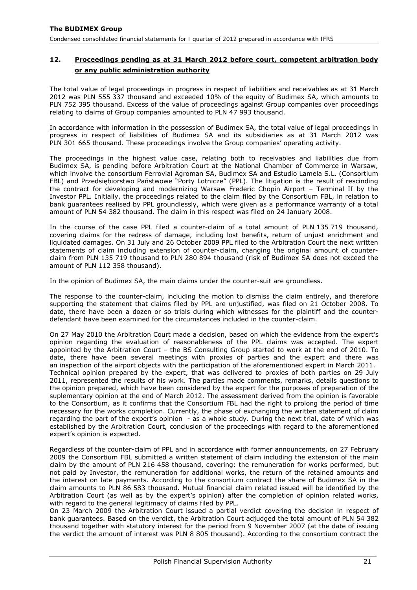# <span id="page-21-0"></span>**12. Proceedings pending as at 31 March 2012 before court, competent arbitration body or any public administration authority**

The total value of legal proceedings in progress in respect of liabilities and receivables as at 31 March 2012 was PLN 555 337 thousand and exceeded 10% of the equity of Budimex SA, which amounts to PLN 752 395 thousand. Excess of the value of proceedings against Group companies over proceedings relating to claims of Group companies amounted to PLN 47 993 thousand.

In accordance with information in the possession of Budimex SA, the total value of legal proceedings in progress in respect of liabilities of Budimex SA and its subsidiaries as at 31 March 2012 was PLN 301 665 thousand. These proceedings involve the Group companies' operating activity.

The proceedings in the highest value case, relating both to receivables and liabilities due from Budimex SA, is pending before Arbitration Court at the National Chamber of Commerce in Warsaw, which involve the consortium Ferrovial Agroman SA, Budimex SA and Estudio Lamela S.L. (Consortium FBL) and Przedsiębiorstwo Państwowe "Porty Lotnicze" (PPL). The litigation is the result of rescinding the contract for developing and modernizing Warsaw Frederic Chopin Airport – Terminal II by the Investor PPL. Initially, the proceedings related to the claim filed by the Consortium FBL, in relation to bank guarantees realised by PPL groundlessly, which were given as a performance warranty of a total amount of PLN 54 382 thousand. The claim in this respect was filed on 24 January 2008.

In the course of the case PPL filed a counter-claim of a total amount of PLN 135 719 thousand, covering claims for the redress of damage, including lost benefits, return of unjust enrichment and liquidated damages. On 31 July and 26 October 2009 PPL filed to the Arbitration Court the next written statements of claim including extension of counter-claim, changing the original amount of counterclaim from PLN 135 719 thousand to PLN 280 894 thousand (risk of Budimex SA does not exceed the amount of PLN 112 358 thousand).

In the opinion of Budimex SA, the main claims under the counter-suit are groundless.

The response to the counter-claim, including the motion to dismiss the claim entirely, and therefore supporting the statement that claims filed by PPL are unjustified, was filed on 21 October 2008. To date, there have been a dozen or so trials during which witnesses for the plaintiff and the counterdefendant have been examined for the circumstances included in the counter-claim.

On 27 May 2010 the Arbitration Court made a decision, based on which the evidence from the expert's opinion regarding the evaluation of reasonableness of the PPL claims was accepted. The expert appointed by the Arbitration Court – the BS Consulting Group started to work at the end of 2010. To date, there have been several meetings with proxies of parties and the expert and there was an inspection of the airport objects with the participation of the aforementioned expert in March 2011. Technical opinion prepared by the expert, that was delivered to proxies of both parties on 29 July 2011, represented the results of his work. The parties made comments, remarks, details questions to the opinion prepared, which have been considered by the expert for the purposes of preparation of the suplementary opinion at the end of March 2012. The assessment derived from the opinion is favorable to the Consortium, as it confirms that the Consortium FBL had the right to prolong the period of time necessary for the works completion. Currently, the phase of exchanging the written statement of claim regarding the part of the expert's opinion - as a whole study. During the next trial, date of which was established by the Arbitration Court, conclusion of the proceedings with regard to the aforementioned expert's opinion is expected.

Regardless of the counter-claim of PPL and in accordance with former announcements, on 27 February 2009 the Consortium FBL submitted a written statement of claim including the extension of the main claim by the amount of PLN 216 458 thousand, covering: the remuneration for works performed, but not paid by Investor, the remuneration for additional works, the return of the retained amounts and the interest on late payments. According to the consortium contract the share of Budimex SA in the claim amounts to PLN 86 583 thousand. Mutual financial claim related issued will be identified by the Arbitration Court (as well as by the expert's opinion) after the completion of opinion related works, with regard to the general legitimacy of claims filed by PPL.

On 23 March 2009 the Arbitration Court issued a partial verdict covering the decision in respect of bank guarantees. Based on the verdict, the Arbitration Court adjudged the total amount of PLN 54 382 thousand together with statutory interest for the period from 9 November 2007 (at the date of issuing the verdict the amount of interest was PLN 8 805 thousand). According to the consortium contract the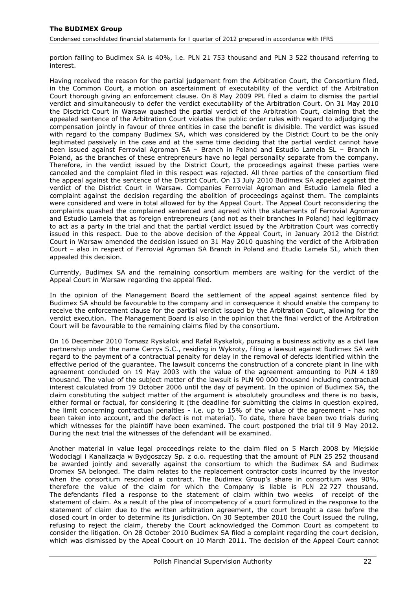portion falling to Budimex SA is 40%, i.e. PLN 21 753 thousand and PLN 3 522 thousand referring to interest.

Having received the reason for the partial judgement from the Arbitration Court, the Consortium filed, in the Common Court, a motion on ascertainment of executability of the verdict of the Arbitration Court thorough giving an enforcement clause. On 8 May 2009 PPL filed a claim to dismiss the partial verdict and simultaneously to defer the verdict executability of the Arbitration Court. On 31 May 2010 the Disctrict Court in Warsaw quashed the partial verdict of the Arbitration Court, claiming that the appealed sentence of the Arbitration Court violates the public order rules with regard to adjudging the compensation jointly in favour of three entities in case the benefit is divisible. The verdict was issued with regard to the company Budimex SA, which was considered by the District Court to be the only legitimated passively in the case and at the same time deciding that the partial verdict cannot have been issued against Ferrovial Agroman SA – Branch in Poland and Estudio Lamela SL – Branch in Poland, as the branches of these entrepreneurs have no legal personality separate from the company. Therefore, in the verdict issued by the District Court, the proceedings against these parties were canceled and the complaint filed in this respect was rejected. All three parties of the consortium filed the appeal against the sentence of the District Court. On 13 July 2010 Budimex SA appeled against the verdict of the District Court in Warsaw. Companies Ferrovial Agroman and Estudio Lamela filed a complaint against the decision regarding the abolition of proceedings against them. The complaints were considered and were in total allowed for by the Appeal Court. The Appeal Court reconsidering the complaints quashed the complained sentenced and agreed with the statements of Ferrovial Agroman and Estudio Lamela that as foreign entrepreneurs (and not as their branches in Poland) had legitimacy to act as a party in the trial and that the partial verdict issued by the Arbitration Court was correctly issued in this respect. Due to the above decision of the Appeal Court, in January 2012 the District Court in Warsaw amended the decision issued on 31 May 2010 quashing the verdict of the Arbitration Court – also in respect of Ferrovial Agroman SA Branch in Poland and Etudio Lamela SL, which then appealed this decision.

Currently, Budimex SA and the remaining consortium members are waiting for the verdict of the Appeal Court in Warsaw regarding the appeal filed.

In the opinion of the Management Board the settlement of the appeal against sentence filed by Budimex SA should be favourable to the company and in consequence it should enable the company to receive the enforcement clause for the partial verdict issued by the Arbitration Court, allowing for the verdict execution. The Management Board is also in the opinion that the final verdict of the Arbitration Court will be favourable to the remaining claims filed by the consortium.

On 16 December 2010 Tomasz Ryskalok and Rafał Ryskalok, pursuing a business activity as a civil law partnership under the name Cerrys S.C., residing in Wykroty, filing a lawsuit against Budimex SA with regard to the payment of a contractual penalty for delay in the removal of defects identified within the effective period of the guarantee. The lawsuit concerns the construction of a concrete plant in line with agreement concluded on 19 May 2003 with the value of the agreement amounting to PLN 4 189 thousand. The value of the subject matter of the lawsuit is PLN 90 000 thousand including contractual interest calculated from 19 October 2006 until the day of payment. In the opinion of Budimex SA, the claim constituting the subject matter of the argument is absolutely groundless and there is no basis, either formal or factual, for considering it (the deadline for submitting the claims in question expired, the limit concerning contractual penalties - i.e. up to 15% of the value of the agreement - has not been taken into account, and the defect is not material). To date, there have been two trials during which witnesses for the plaintiff have been examined. The court postponed the trial till 9 May 2012. During the next trial the witnesses of the defendant will be examined.

Another material in value legal proceedings relate to the claim filed on 5 March 2008 by Miejskie Wodociągi i Kanalizacja w Bydgoszczy Sp. z o.o. requesting that the amount of PLN 25 252 thousand be awarded jointly and severally against the consortium to which the Budimex SA and Budimex Dromex SA belonged. The claim relates to the replacement contractor costs incurred by the investor when the consortium rescinded a contract. The Budimex Group's share in consortium was 90%, therefore the value of the claim for which the Company is liable is PLN 22 727 thousand. The defendants filed a response to the statement of claim within two weeks of receipt of the statement of claim. As a result of the plea of incompetency of a court formulized in the response to the statement of claim due to the written arbitration agreement, the court brought a case before the closed court in order to determine its jurisdiction. On 30 September 2010 the Court issued the ruling, refusing to reject the claim, thereby the Court acknowledged the Common Court as competent to consider the litigation. On 28 October 2010 Budimex SA filed a complaint regarding the court decision, which was dismissed by the Apeal Coourt on 10 March 2011. The decision of the Appeal Court cannot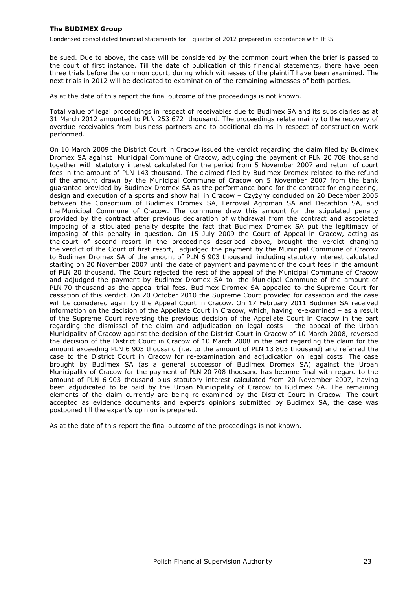be sued. Due to above, the case will be considered by the common court when the brief is passed to the court of first instance. Till the date of publication of this financial statements, there have been three trials before the common court, during which witnesses of the plaintiff have been examined. The next trials in 2012 will be dedicated to examination of the remaining witnesses of both parties.

As at the date of this report the final outcome of the proceedings is not known.

Total value of legal proceedings in respect of receivables due to Budimex SA and its subsidiaries as at 31 March 2012 amounted to PLN 253 672 thousand. The proceedings relate mainly to the recovery of overdue receivables from business partners and to additional claims in respect of construction work performed.

On 10 March 2009 the District Court in Cracow issued the verdict regarding the claim filed by Budimex Dromex SA against Municipal Commune of Cracow, adjudging the payment of PLN 20 708 thousand together with statutory interest calculated for the period from 5 November 2007 and return of court fees in the amount of PLN 143 thousand. The claimed filed by Budimex Dromex related to the refund of the amount drawn by the Municipal Commune of Cracow on 5 November 2007 from the bank guarantee provided by Budimex Dromex SA as the performance bond for the contract for engineering, design and execution of a sports and show hall in Cracow – Czyżyny concluded on 20 December 2005 between the Consortium of Budimex Dromex SA, Ferrovial Agroman SA and Decathlon SA, and the Municipal Commune of Cracow. The commune drew this amount for the stipulated penalty provided by the contract after previous declaration of withdrawal from the contract and associated imposing of a stipulated penalty despite the fact that Budimex Dromex SA put the legitimacy of imposing of this penalty in question. On 15 July 2009 the Court of Appeal in Cracow, acting as the court of second resort in the proceedings described above, brought the verdict changing the verdict of the Court of first resort, adjudged the payment by the Municipal Commune of Cracow to Budimex Dromex SA of the amount of PLN 6 903 thousand including statutory interest calculated starting on 20 November 2007 until the date of payment and payment of the court fees in the amount of PLN 20 thousand. The Court rejected the rest of the appeal of the Municipal Commune of Cracow and adjudged the payment by Budimex Dromex SA to the Municipal Commune of the amount of PLN 70 thousand as the appeal trial fees. Budimex Dromex SA appealed to the Supreme Court for cassation of this verdict. On 20 October 2010 the Supreme Court provided for cassation and the case will be considered again by the Appeal Court in Cracow. On 17 February 2011 Budimex SA received information on the decision of the Appellate Court in Cracow, which, having re-examined – as a result of the Supreme Court reversing the previous decision of the Appellate Court in Cracow in the part regarding the dismissal of the claim and adjudication on legal costs – the appeal of the Urban Municipality of Cracow against the decision of the District Court in Cracow of 10 March 2008, reversed the decision of the District Court in Cracow of 10 March 2008 in the part regarding the claim for the amount exceeding PLN 6 903 thousand (i.e. to the amount of PLN 13 805 thousand) and referred the case to the District Court in Cracow for re-examination and adjudication on legal costs. The case brought by Budimex SA (as a general successor of Budimex Dromex SA) against the Urban Municipality of Cracow for the payment of PLN 20 708 thousand has become final with regard to the amount of PLN 6 903 thousand plus statutory interest calculated from 20 November 2007, having been adjudicated to be paid by the Urban Municipality of Cracow to Budimex SA. The remaining elements of the claim currently are being re-examined by the District Court in Cracow. The court accepted as evidence documents and expert's opinions submitted by Budimex SA, the case was postponed till the expert's opinion is prepared.

As at the date of this report the final outcome of the proceedings is not known.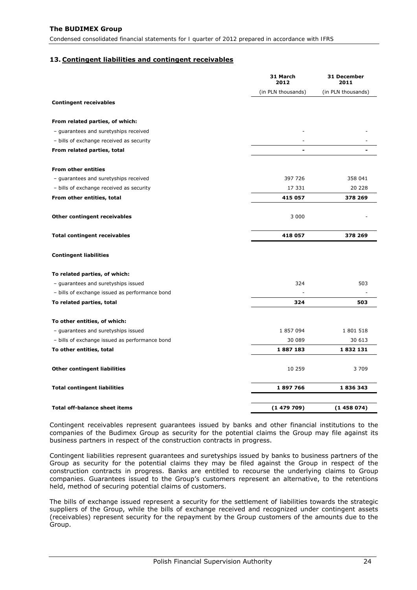#### <span id="page-24-0"></span>**13. Contingent liabilities and contingent receivables**

|                                                | 31 March<br>2012   | 31 December<br>2011 |
|------------------------------------------------|--------------------|---------------------|
|                                                | (in PLN thousands) | (in PLN thousands)  |
| <b>Contingent receivables</b>                  |                    |                     |
| From related parties, of which:                |                    |                     |
| - guarantees and suretyships received          |                    |                     |
| - bills of exchange received as security       |                    |                     |
| From related parties, total                    |                    |                     |
| <b>From other entities</b>                     |                    |                     |
| - guarantees and suretyships received          | 397 726            | 358 041             |
| - bills of exchange received as security       | 17 331             | 20 228              |
| From other entities, total                     | 415 057            | 378 269             |
|                                                |                    |                     |
| <b>Other contingent receivables</b>            | 3 0 0 0            |                     |
| <b>Total contingent receivables</b>            | 418 057            | 378 269             |
| <b>Contingent liabilities</b>                  |                    |                     |
| To related parties, of which:                  |                    |                     |
| - guarantees and suretyships issued            | 324                | 503                 |
| - bills of exchange issued as performance bond |                    |                     |
| To related parties, total                      | 324                | 503                 |
| To other entities, of which:                   |                    |                     |
| - guarantees and suretyships issued            | 1 857 094          | 1 801 518           |
| - bills of exchange issued as performance bond | 30 089             | 30 613              |
| To other entities, total                       | 1887183            | 1832131             |
| <b>Other contingent liabilities</b>            | 10 259             | 3 7 0 9             |
| <b>Total contingent liabilities</b>            | 1897766            | 1836343             |
|                                                |                    |                     |
| <b>Total off-balance sheet items</b>           | (1479709)          | (1458074)           |

Contingent receivables represent guarantees issued by banks and other financial institutions to the companies of the Budimex Group as security for the potential claims the Group may file against its business partners in respect of the construction contracts in progress.

Contingent liabilities represent guarantees and suretyships issued by banks to business partners of the Group as security for the potential claims they may be filed against the Group in respect of the construction contracts in progress. Banks are entitled to recourse the underlying claims to Group companies. Guarantees issued to the Group's customers represent an alternative, to the retentions held, method of securing potential claims of customers.

The bills of exchange issued represent a security for the settlement of liabilities towards the strategic suppliers of the Group, while the bills of exchange received and recognized under contingent assets (receivables) represent security for the repayment by the Group customers of the amounts due to the Group.